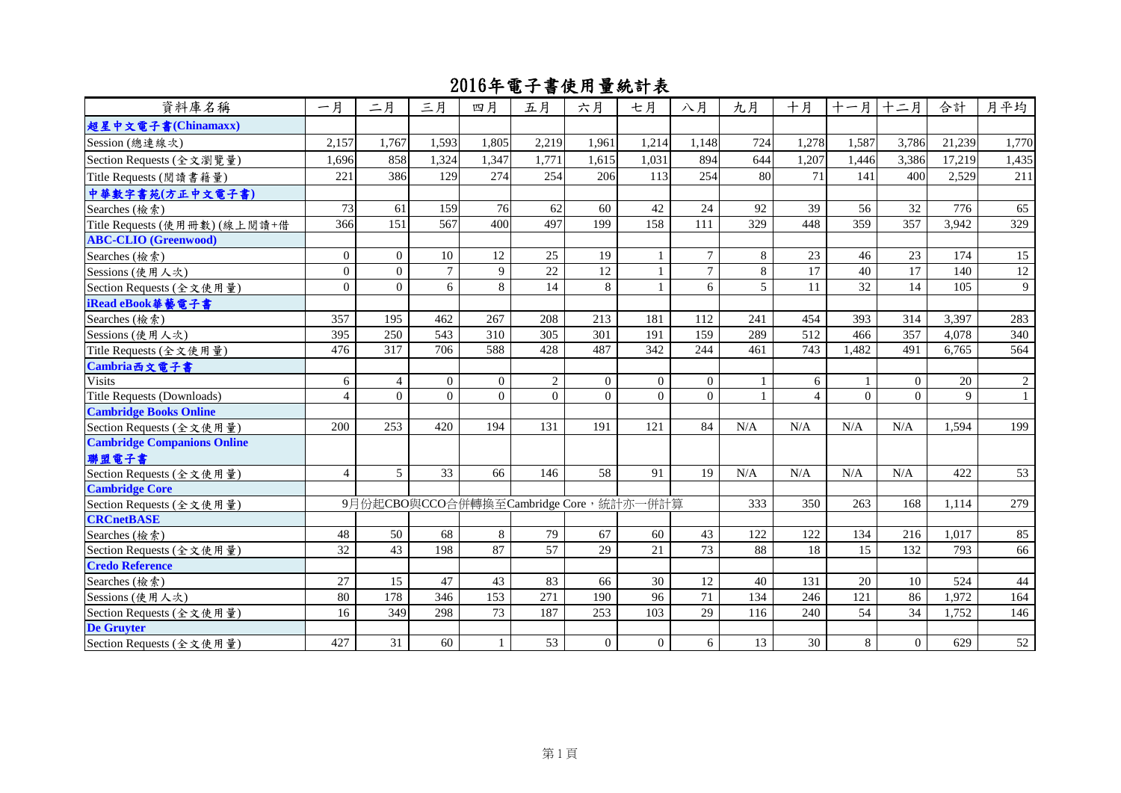| 資料庫名稱                                             | 一月               | 二月             | 三月             | 四月             | 五月                                     | 六月             | 七月             | 八月              | 九月  | 十月                  | 十一月      | 十二月            | 合計           | 月平均            |
|---------------------------------------------------|------------------|----------------|----------------|----------------|----------------------------------------|----------------|----------------|-----------------|-----|---------------------|----------|----------------|--------------|----------------|
| 超星中文電子書(Chinamaxx)                                |                  |                |                |                |                                        |                |                |                 |     |                     |          |                |              |                |
| Session (總連線次)                                    | 2,157            | 1.767          | 1,593          | 1,805          | 2,219                                  | 1,961          | 1,214          | 1,148           | 724 | 1,278               | 1,587    | 3,786          | 21,239       | 1,770          |
| Section Requests (全文瀏覽量)                          | 1,696            | 858            | 1,324          | 1,347          | 1,771                                  | 1,615          | 1,031          | 894             | 644 | 1,207               | 1,446    | 3,386          | 17,219       | 1,435          |
| Title Requests (閲讀書籍量)                            | 221              | 386            | 129            | 274            | 254                                    | 206            | 113            | 254             | 80  | 71                  | 141      | 400            | 2.529        | 211            |
| 中華數字書苑(方正中文電子書)                                   |                  |                |                |                |                                        |                |                |                 |     |                     |          |                |              |                |
| Searches (檢索)                                     | 73               | 61             | 159            | 76             | 62                                     | 60             | 42             | 24              | 92  | 39                  | 56       | 32             | 776          | 65             |
| Title Requests (使用冊數)(線上閱讀+借                      | 366              | 151            | 567            | 400            | 497                                    | 199            | 158            | 111             | 329 | 448                 | 359      | 357            | 3,942        | 329            |
| <b>ABC-CLIO</b> (Greenwood)                       |                  |                |                |                |                                        |                |                |                 |     |                     |          |                |              |                |
| Searches (檢索)                                     | $\mathbf{0}$     | $\Omega$       | 10             | 12             | 25                                     | 19             | $\mathbf{1}$   | $\tau$          | 8   | 23                  | 46       | 23             | 174          | 15             |
| Sessions (使用人次)                                   | $\boldsymbol{0}$ | $\overline{0}$ | $\overline{7}$ | 9              | 22                                     | 12             | $\mathbf{1}$   | $\overline{7}$  | 8   | 17                  | 40       | 17             | 140          | 12             |
| Section Requests (全文使用量)                          | $\theta$         | $\Omega$       | 6              | 8              | 14                                     | 8              | $\mathbf{1}$   | 6               | 5   | 11                  | 32       | 14             | 105          | 9              |
| iRead eBook 華藝電子書                                 |                  |                |                |                |                                        |                |                |                 |     |                     |          |                |              |                |
| Searches (檢索)                                     | 357              | 195            | 462            | 267            | 208                                    | 213            | 181            | 112             | 241 | 454                 | 393      | 314            | 3,397        | 283            |
| Sessions (使用人次)                                   | 395              | 250            | 543            | 310            | 305                                    | 301            | 191            | 159             | 289 | 512                 | 466      | 357            | 4,078        | 340            |
| Title Requests (全文使用量)                            | 476              | 317            | 706            | 588            | 428                                    | 487            | 342            | 244             | 461 | 743                 | 1,482    | 491            | 6,765        | 564            |
| Cambria西文電子書                                      |                  |                |                |                |                                        |                |                |                 |     |                     |          |                |              |                |
| <b>Visits</b>                                     | 6                | $\overline{4}$ | $\overline{0}$ | $\overline{0}$ | $\overline{2}$                         | $\overline{0}$ | $\overline{0}$ | $\overline{0}$  |     | 6                   |          | $\overline{0}$ | 20           | $\overline{c}$ |
| Title Requests (Downloads)                        | $\overline{4}$   | $\Omega$       | $\Omega$       | $\Omega$       | $\Omega$                               | $\Omega$       | $\Omega$       | $\Omega$        |     | $\overline{\Delta}$ | $\Omega$ | $\Omega$       | $\mathbf{Q}$ |                |
| <b>Cambridge Books Online</b>                     |                  |                |                |                |                                        |                |                |                 |     |                     |          |                |              |                |
| Section Requests (全文使用量)                          | 200              | 253            | 420            | 194            | 131                                    | 191            | 121            | 84              | N/A | N/A                 | N/A      | N/A            | 1,594        | 199            |
| <b>Cambridge Companions Online</b>                |                  |                |                |                |                                        |                |                |                 |     |                     |          |                |              |                |
| 聯盟電子書                                             |                  | $\mathfrak{H}$ |                |                |                                        |                | 91             |                 |     |                     |          |                | 422          |                |
| Section Requests (全文使用量)<br><b>Cambridge Core</b> | $\overline{4}$   |                | 33             | 66             | 146                                    | 58             |                | 19              | N/A | N/A                 | N/A      | N/A            |              | 53             |
| Section Requests (全文使用量)                          |                  |                |                |                | 9月份起CBO與CCO合併轉換至Cambridge Core,統計亦一併計算 |                |                |                 | 333 | 350                 | 263      | 168            | 1,114        | 279            |
| <b>CRCnetBASE</b>                                 |                  |                |                |                |                                        |                |                |                 |     |                     |          |                |              |                |
| Searches (檢索)                                     | 48               | 50             | 68             | 8              | 79                                     | 67             | 60             | 43              | 122 | 122                 | 134      | 216            | 1,017        | 85             |
| Section Requests (全文使用量)                          | 32               | 43             | 198            | 87             | $\overline{57}$                        | 29             | 21             | $\overline{73}$ | 88  | 18                  | 15       | 132            | 793          | 66             |
| <b>Credo Reference</b>                            |                  |                |                |                |                                        |                |                |                 |     |                     |          |                |              |                |
| Searches (檢索)                                     | 27               | 15             | 47             | 43             | 83                                     | 66             | 30             | 12              | 40  | 131                 | 20       | 10             | 524          | 44             |
| Sessions (使用人次)                                   | 80               | 178            | 346            | 153            | 271                                    | 190            | 96             | 71              | 134 | 246                 | 121      | 86             | 1,972        | 164            |
| Section Requests (全文使用量)                          | 16               | 349            | 298            | 73             | 187                                    | 253            | 103            | 29              | 116 | 240                 | 54       | 34             | 1,752        | 146            |
| <b>De Gruyter</b>                                 |                  |                |                |                |                                        |                |                |                 |     |                     |          |                |              |                |
| Section Requests (全文使用量)                          | 427              | 31             | 60             | $\mathbf{1}$   | 53                                     | $\overline{0}$ | $\overline{0}$ | 6               | 13  | 30                  | 8        | $\overline{0}$ | 629          | 52             |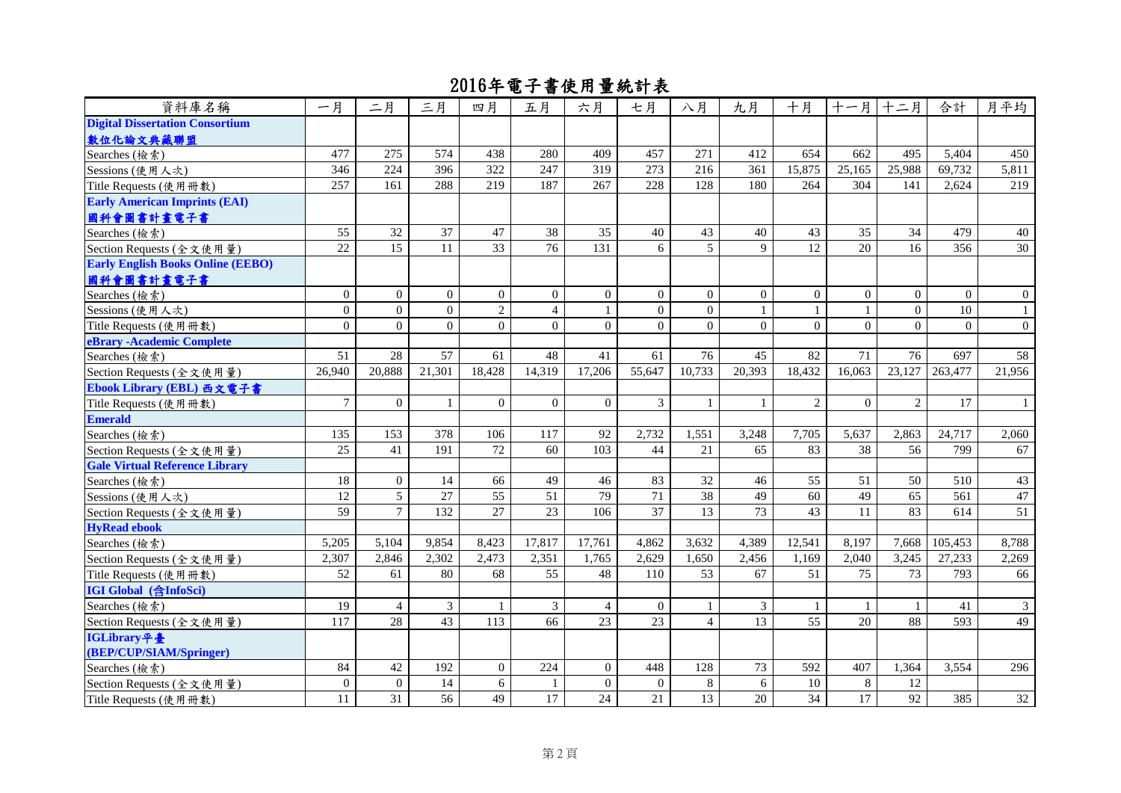| 資料庫名稱                                    | 一月               | 二月              | 三月             | 四月              | 五月              | 六月               | 七月              | 八月              | 九月              | 十月               | 十一月            | 十二月          | 合計           | 月平均             |
|------------------------------------------|------------------|-----------------|----------------|-----------------|-----------------|------------------|-----------------|-----------------|-----------------|------------------|----------------|--------------|--------------|-----------------|
| <b>Digital Dissertation Consortium</b>   |                  |                 |                |                 |                 |                  |                 |                 |                 |                  |                |              |              |                 |
| 數位化論文典藏聯盟                                |                  |                 |                |                 |                 |                  |                 |                 |                 |                  |                |              |              |                 |
| Searches (檢索)                            | 477              | 275             | 574            | 438             | 280             | 409              | 457             | 271             | 412             | 654              | 662            | 495          | 5,404        | 450             |
| Sessions (使用人次)                          | 346              | 224             | 396            | 322             | 247             | 319              | 273             | 216             | 361             | 15,875           | 25,165         | 25,988       | 69,732       | 5,811           |
| Title Requests (使用冊數)                    | 257              | 161             | 288            | 219             | 187             | 267              | 228             | 128             | 180             | 264              | 304            | 141          | 2,624        | 219             |
| <b>Early American Imprints (EAI)</b>     |                  |                 |                |                 |                 |                  |                 |                 |                 |                  |                |              |              |                 |
| 國科會圖書計畫電子書                               |                  |                 |                |                 |                 |                  |                 |                 |                 |                  |                |              |              |                 |
| Searches (檢索)                            | 55               | 32              | 37             | 47              | 38              | 35               | 40              | 43              | 40              | 43               | 35             | 34           | 479          | 40              |
| Section Requests (全文使用量)                 | 22               | $\overline{15}$ | 11             | $\overline{33}$ | $\overline{76}$ | 131              | 6               | $\overline{5}$  | $\mathbf Q$     | 12               | 20             | 16           | 356          | 30              |
| <b>Early English Books Online (EEBO)</b> |                  |                 |                |                 |                 |                  |                 |                 |                 |                  |                |              |              |                 |
| 國科會圖書計畫電子書                               |                  |                 |                |                 |                 |                  |                 |                 |                 |                  |                |              |              |                 |
| Searches (檢索)                            | $\boldsymbol{0}$ | $\Omega$        | $\Omega$       | $\Omega$        | $\overline{0}$  | $\overline{0}$   | $\overline{0}$  | $\overline{0}$  | $\overline{0}$  | $\boldsymbol{0}$ | $\mathbf{0}$   | $\mathbf{0}$ | $\mathbf{0}$ | $\theta$        |
| Sessions (使用人次)                          | $\mathbf{0}$     | $\Omega$        | $\Omega$       | $\overline{2}$  | $\overline{4}$  | $\mathbf{1}$     | $\Omega$        | $\Omega$        | $\mathbf{1}$    | $\mathbf{1}$     | $\mathbf{1}$   | $\Omega$     | 10           | $\mathbf{1}$    |
| Title Requests (使用冊數)                    | $\overline{0}$   | $\Omega$        | $\Omega$       | $\Omega$        | $\Omega$        | $\Omega$         | $\Omega$        | $\Omega$        | $\overline{0}$  | $\theta$         | $\theta$       | $\Omega$     | $\Omega$     | $\overline{0}$  |
| eBrary - Academic Complete               |                  |                 |                |                 |                 |                  |                 |                 |                 |                  |                |              |              |                 |
| Searches (檢索)                            | 51               | 28              | 57             | 61              | 48              | 41               | 61              | 76              | 45              | 82               | 71             | 76           | 697          | 58              |
| Section Requests (全文使用量)                 | 26,940           | 20,888          | 21,301         | 18,428          | 14,319          | 17,206           | 55,647          | 10,733          | 20,393          | 18,432           | 16,063         | 23,127       | 263,477      | 21,956          |
| Ebook Library (EBL) 西文電子書                |                  |                 |                |                 |                 |                  |                 |                 |                 |                  |                |              |              |                 |
| Title Requests (使用冊數)                    | $\overline{7}$   | $\Omega$        | $\mathbf{1}$   | $\Omega$        | $\mathbf{0}$    | $\overline{0}$   | $\mathfrak{Z}$  | $\mathbf{1}$    | $\mathbf{1}$    | $\overline{2}$   | $\theta$       | $\mathbf{2}$ | 17           | $\mathbf{1}$    |
| <b>Emerald</b>                           |                  |                 |                |                 |                 |                  |                 |                 |                 |                  |                |              |              |                 |
| Searches (檢索)                            | 135              | 153             | 378            | 106             | 117             | 92               | 2,732           | 1,551           | 3.248           | 7,705            | 5.637          | 2.863        | 24,717       | 2,060           |
| Section Requests (全文使用量)                 | 25               | 41              | 191            | 72              | 60              | 103              | 44              | 21              | 65              | 83               | 38             | 56           | 799          | 67              |
| <b>Gale Virtual Reference Library</b>    |                  |                 |                |                 |                 |                  |                 |                 |                 |                  |                |              |              |                 |
| Searches (檢索)                            | 18               | $\overline{0}$  | 14             | 66              | 49              | 46               | 83              | 32              | 46              | 55               | 51             | 50           | 510          | 43              |
| Sessions (使用人次)                          | 12               | 5               | 27             | $\overline{55}$ | $\overline{51}$ | 79               | $\overline{71}$ | $\overline{38}$ | 49              | 60               | 49             | 65           | 561          | 47              |
| Section Requests (全文使用量)                 | 59               | $\overline{7}$  | 132            | $\overline{27}$ | 23              | 106              | $\overline{37}$ | 13              | $\overline{73}$ | 43               | 11             | 83           | 614          | $\overline{51}$ |
| <b>HyRead ebook</b>                      |                  |                 |                |                 |                 |                  |                 |                 |                 |                  |                |              |              |                 |
| Searches (檢索)                            | 5,205            | 5,104           | 9,854          | 8,423           | 17,817          | 17,761           | 4,862           | 3,632           | 4,389           | 12,541           | 8,197          | 7,668        | 105,453      | 8,788           |
| Section Requests (全文使用量)                 | 2,307            | 2,846           | 2,302          | 2,473           | 2,351           | 1,765            | 2,629           | 1,650           | 2,456           | 1,169            | 2,040          | 3,245        | 27,233       | 2,269           |
| Title Requests (使用冊數)                    | 52               | 61              | 80             | 68              | 55              | 48               | 110             | 53              | 67              | 51               | 75             | 73           | 793          | 66              |
| <b>IGI Global</b> (含InfoSci)             |                  |                 |                |                 |                 |                  |                 |                 |                 |                  |                |              |              |                 |
| Searches (檢索)                            | 19               | $\overline{4}$  | $\mathfrak{Z}$ | $\mathbf{1}$    | 3               | $\overline{4}$   | $\mathbf{0}$    | 1               | $\mathfrak{Z}$  | $\mathbf{1}$     | $\mathbf{1}$   | $\mathbf{1}$ | 41           | 3               |
| Section Requests (全文使用量)                 | 117              | 28              | 43             | 113             | 66              | 23               | $\overline{23}$ | $\overline{4}$  | $\overline{13}$ | 55               | 20             | 88           | 593          | 49              |
| IGLibrary平臺                              |                  |                 |                |                 |                 |                  |                 |                 |                 |                  |                |              |              |                 |
| (BEP/CUP/SIAM/Springer)                  |                  |                 |                |                 |                 |                  |                 |                 |                 |                  |                |              |              |                 |
| Searches (檢索)                            | 84               | 42              | 192            | $\overline{0}$  | 224             | $\overline{0}$   | 448             | 128             | 73              | 592              | 407            | 1,364        | 3,554        | 296             |
| Section Requests (全文使用量)                 | $\boldsymbol{0}$ | $\mathbf{0}$    | 14             | $6\,$           |                 | $\boldsymbol{0}$ | $\mathbf{0}$    | $\,8\,$         | $\sqrt{6}$      | 10               | $8\phantom{1}$ | 12           |              |                 |
| Title Requests (使用冊數)                    | 11               | 31              | 56             | 49              | 17              | 24               | 21              | 13              | 20              | 34               | 17             | 92           | 385          | 32              |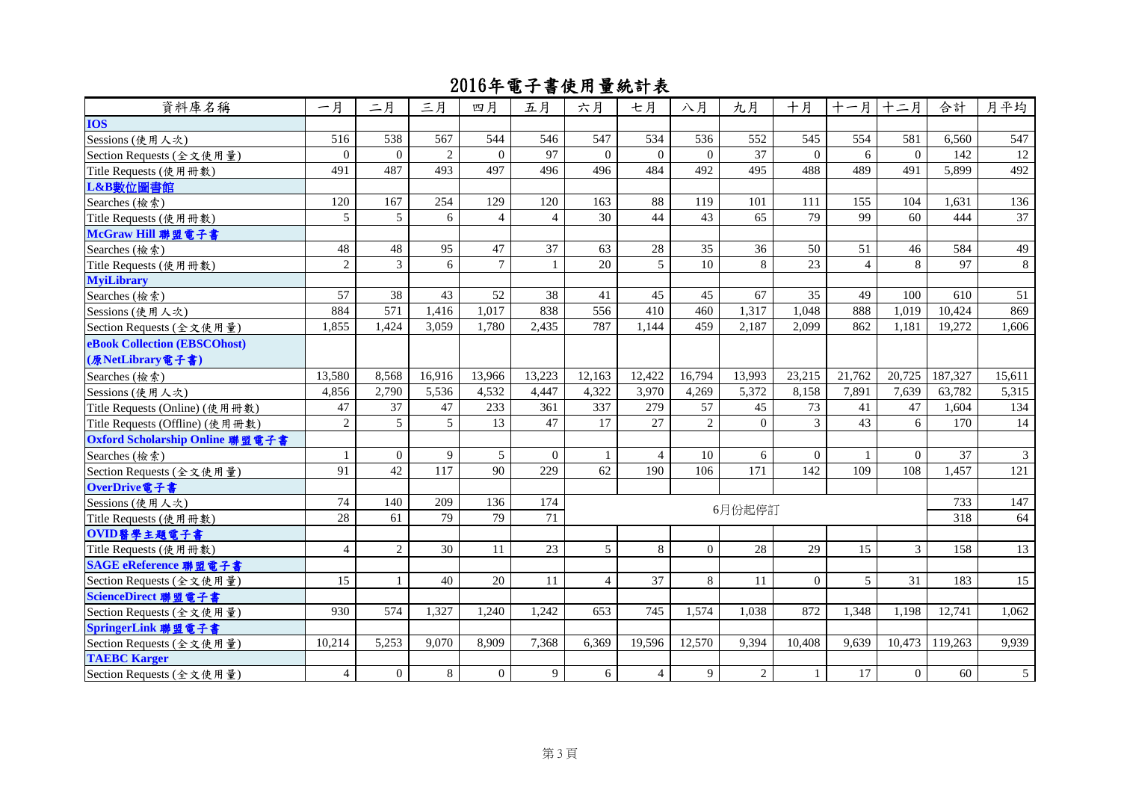| 資料庫名稱                           | 一月             | 二月             | 三月            | 四月             | 五月               | 六月             | 七月             | 八月             | 九月              | 十月       | 十一月十二月         |                | 合計      | 月平均             |
|---------------------------------|----------------|----------------|---------------|----------------|------------------|----------------|----------------|----------------|-----------------|----------|----------------|----------------|---------|-----------------|
| <b>IOS</b>                      |                |                |               |                |                  |                |                |                |                 |          |                |                |         |                 |
| Sessions (使用人次)                 | 516            | 538            | 567           | 544            | 546              | 547            | 534            | 536            | 552             | 545      | 554            | 581            | 6,560   | 547             |
| Section Requests (全文使用量)        | $\Omega$       | $\Omega$       | $\mathcal{L}$ | $\Omega$       | 97               | $\Omega$       | $\Omega$       | $\Omega$       | $\overline{37}$ | $\Omega$ | 6              | $\Omega$       | 142     | 12              |
| Title Requests (使用冊數)           | 491            | 487            | 493           | 497            | 496              | 496            | 484            | 492            | 495             | 488      | 489            | 491            | 5,899   | 492             |
| L&B數位圖書館                        |                |                |               |                |                  |                |                |                |                 |          |                |                |         |                 |
| Searches (檢索)                   | 120            | 167            | 254           | 129            | 120              | 163            | 88             | 119            | 101             | 111      | 155            | 104            | 1,631   | 136             |
| Title Requests (使用冊數)           | 5              | 5 <sup>5</sup> | 6             | $\overline{4}$ | $\overline{4}$   | 30             | 44             | 43             | 65              | 79       | 99             | 60             | 444     | 37              |
| McGraw Hill 聯盟電子書               |                |                |               |                |                  |                |                |                |                 |          |                |                |         |                 |
| Searches (檢索)                   | 48             | 48             | 95            | 47             | 37               | 63             | 28             | 35             | 36              | 50       | 51             | 46             | 584     | 49              |
| Title Requests (使用冊數)           | $\overline{c}$ | $\mathfrak{Z}$ | 6             | $\tau$         | $\mathbf{1}$     | 20             | $\mathfrak{F}$ | 10             | 8               | 23       | $\overline{4}$ | 8              | 97      | 8               |
| <b>MyiLibrary</b>               |                |                |               |                |                  |                |                |                |                 |          |                |                |         |                 |
| Searches (檢索)                   | 57             | 38             | 43            | 52             | 38               | 41             | 45             | 45             | 67              | 35       | 49             | 100            | 610     | 51              |
| Sessions (使用人次)                 | 884            | 571            | 1,416         | 1,017          | 838              | 556            | 410            | 460            | 1,317           | 1,048    | 888            | 1,019          | 10,424  | 869             |
| Section Requests (全文使用量)        | 1,855          | 1,424          | 3,059         | 1,780          | 2,435            | 787            | 1,144          | 459            | 2,187           | 2,099    | 862            | 1,181          | 19,272  | 1,606           |
| eBook Collection (EBSCOhost)    |                |                |               |                |                  |                |                |                |                 |          |                |                |         |                 |
| (原NetLibrary電子書)                |                |                |               |                |                  |                |                |                |                 |          |                |                |         |                 |
| Searches (檢索)                   | 13,580         | 8,568          | 16,916        | 13,966         | 13,223           | 12,163         | 12,422         | 16,794         | 13,993          | 23,215   | 21,762         | 20,725         | 187,327 | 15,611          |
| Sessions (使用人次)                 | 4,856          | 2,790          | 5,536         | 4,532          | 4,447            | 4,322          | 3,970          | 4,269          | 5,372           | 8,158    | 7,891          | 7,639          | 63,782  | 5,315           |
| Title Requests (Online) (使用冊數)  | 47             | 37             | $47\,$        | 233            | 361              | 337            | 279            | 57             | 45              | 73       | 41             | 47             | 1,604   | 134             |
| Title Requests (Offline) (使用冊數) | $\overline{2}$ | 5              | 5             | 13             | $\overline{47}$  | 17             | 27             | $\overline{2}$ | $\Omega$        | 3        | 43             | 6              | 170     | 14              |
| Oxford Scholarship Online 聯盟電子書 |                |                |               |                |                  |                |                |                |                 |          |                |                |         |                 |
| Searches (檢索)                   | $\mathbf{1}$   | $\Omega$       | 9             | 5              | $\Omega$         | -1             | $\overline{4}$ | 10             | 6               | $\Omega$ | $\mathbf{1}$   | $\Omega$       | 37      | $\mathfrak{Z}$  |
| Section Requests (全文使用量)        | 91             | 42             | 117           | 90             | 229              | 62             | 190            | 106            | 171             | 142      | 109            | 108            | 1,457   | 121             |
| OverDrive電子書                    |                |                |               |                |                  |                |                |                |                 |          |                |                |         |                 |
| Sessions (使用人次)                 | 74             | 140            | 209           | 136            | 174              |                |                |                | 6月份起停訂          |          |                |                | 733     | 147             |
| Title Requests (使用冊數)           | 28             | 61             | 79            | 79             | 71               |                |                |                |                 |          |                |                | 318     | 64              |
| OVID醫學主題電子書                     |                |                |               |                |                  |                |                |                |                 |          |                |                |         |                 |
| Title Requests (使用冊數)           | $\overline{4}$ | $\overline{2}$ | 30            | 11             | 23               | 5 <sup>5</sup> | 8              | $\overline{0}$ | 28              | 29       | 15             | 3              | 158     | 13              |
| SAGE eReference 聯盟電子書           |                |                |               |                |                  |                |                |                |                 |          |                |                |         |                 |
| Section Requests (全文使用量)        | 15             | $\mathbf{1}$   | 40            | 20             | 11               | $\overline{4}$ | 37             | 8              | 11              | $\Omega$ | $\overline{5}$ | 31             | 183     | 15              |
| ScienceDirect 聯盟電子書             |                |                |               |                |                  |                |                |                |                 |          |                |                |         |                 |
| Section Requests (全文使用量)        | 930            | 574            | 1,327         | 1,240          | 1,242            | 653            | 745            | 1,574          | 1,038           | 872      | 1,348          | 1,198          | 12,741  | 1,062           |
| SpringerLink 聯盟電子書              |                |                |               |                |                  |                |                |                |                 |          |                |                |         |                 |
| Section Requests (全文使用量)        | 10,214         | 5,253          | 9,070         | 8,909          | 7,368            | 6,369          | 19,596         | 12,570         | 9,394           | 10,408   | 9,639          | 10,473         | 119,263 | 9,939           |
| <b>TAEBC Karger</b>             |                |                |               |                |                  |                |                |                |                 |          |                |                |         |                 |
| Section Requests (全文使用量)        | $\overline{4}$ | $\overline{0}$ | $8\,$         | $\overline{0}$ | $\boldsymbol{9}$ | 6              | $\overline{4}$ | $\overline{9}$ | $\overline{2}$  |          | 17             | $\overline{0}$ | 60      | $5\overline{)}$ |